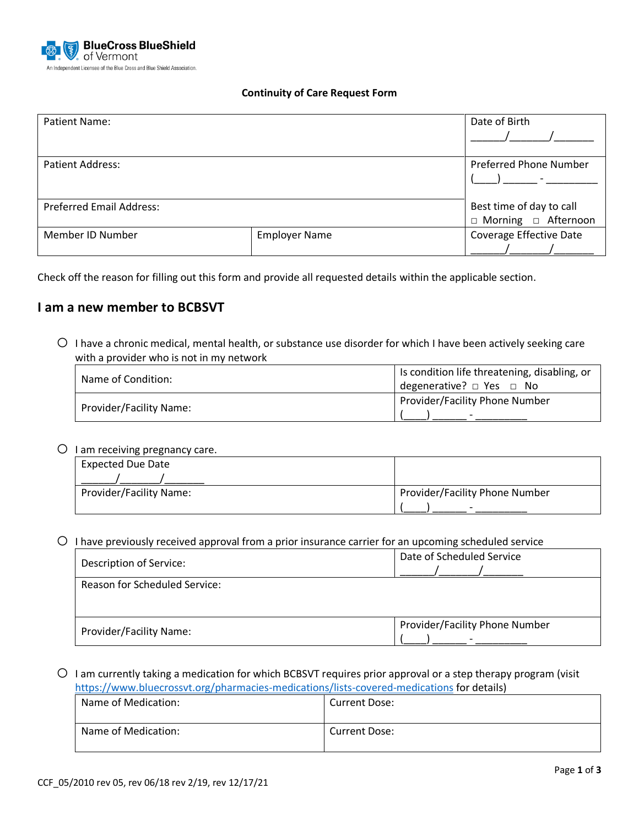

#### **Continuity of Care Request Form**

| <b>Patient Name:</b>            |                      | Date of Birth                                     |
|---------------------------------|----------------------|---------------------------------------------------|
| <b>Patient Address:</b>         |                      | <b>Preferred Phone Number</b>                     |
| <b>Preferred Email Address:</b> |                      | Best time of day to call<br>□ Morning □ Afternoon |
| Member ID Number                | <b>Employer Name</b> | Coverage Effective Date                           |

Check off the reason for filling out this form and provide all requested details within the applicable section.

## **I am a new member to BCBSVT**

 $\circ$  I have a chronic medical, mental health, or substance use disorder for which I have been actively seeking care with a provider who is not in my network

| Name of Condition:      | Is condition life threatening, disabling, or<br>degenerative? $\Box$ Yes $\Box$ No |
|-------------------------|------------------------------------------------------------------------------------|
| Provider/Facility Name: | Provider/Facility Phone Number                                                     |

 $\bigcirc$  I am receiving pregnancy care.

| . .                      |                                |
|--------------------------|--------------------------------|
| <b>Expected Due Date</b> |                                |
|                          |                                |
| Provider/Facility Name:  | Provider/Facility Phone Number |
|                          | $\overline{\phantom{0}}$       |

 $\circ$  I have previously received approval from a prior insurance carrier for an upcoming scheduled service

| Description of Service:              | Date of Scheduled Service      |  |
|--------------------------------------|--------------------------------|--|
| <b>Reason for Scheduled Service:</b> |                                |  |
|                                      |                                |  |
|                                      |                                |  |
| Provider/Facility Name:              | Provider/Facility Phone Number |  |
|                                      |                                |  |

 $\circ$  I am currently taking a medication for which BCBSVT requires prior approval or a step therapy program (visit <https://www.bluecrossvt.org/pharmacies-medications/lists-covered-medications> for details)

| Name of Medication: | <b>Current Dose:</b> |
|---------------------|----------------------|
| Name of Medication: | <b>Current Dose:</b> |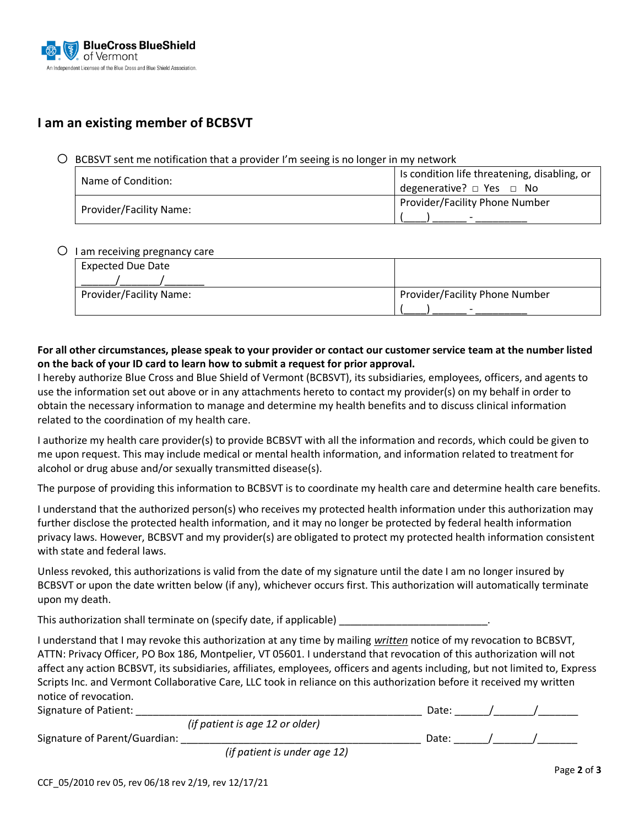

# **I am an existing member of BCBSVT**

#### $\bigcirc$  BCBSVT sent me notification that a provider I'm seeing is no longer in my network

| Name of Condition:      | Is condition life threatening, disabling, or<br>degenerative? $\Box$ Yes $\Box$ No |
|-------------------------|------------------------------------------------------------------------------------|
| Provider/Facility Name: | Provider/Facility Phone Number<br>$\overline{\phantom{0}}$                         |

#### $O$  I am receiving pregnancy care

| <b>Expected Due Date</b> |                                |  |
|--------------------------|--------------------------------|--|
|                          |                                |  |
| Provider/Facility Name:  | Provider/Facility Phone Number |  |
|                          | $\overline{\phantom{0}}$       |  |

### **For all other circumstances, please speak to your provider or contact our customer service team at the number listed on the back of your ID card to learn how to submit a request for prior approval.**

I hereby authorize Blue Cross and Blue Shield of Vermont (BCBSVT), its subsidiaries, employees, officers, and agents to use the information set out above or in any attachments hereto to contact my provider(s) on my behalf in order to obtain the necessary information to manage and determine my health benefits and to discuss clinical information related to the coordination of my health care.

I authorize my health care provider(s) to provide BCBSVT with all the information and records, which could be given to me upon request. This may include medical or mental health information, and information related to treatment for alcohol or drug abuse and/or sexually transmitted disease(s).

The purpose of providing this information to BCBSVT is to coordinate my health care and determine health care benefits.

I understand that the authorized person(s) who receives my protected health information under this authorization may further disclose the protected health information, and it may no longer be protected by federal health information privacy laws. However, BCBSVT and my provider(s) are obligated to protect my protected health information consistent with state and federal laws.

Unless revoked, this authorizations is valid from the date of my signature until the date I am no longer insured by BCBSVT or upon the date written below (if any), whichever occurs first. This authorization will automatically terminate upon my death.

This authorization shall terminate on (specify date, if applicable) \_\_\_\_\_\_\_\_\_\_\_\_

I understand that I may revoke this authorization at any time by mailing *written* notice of my revocation to BCBSVT, ATTN: Privacy Officer, PO Box 186, Montpelier, VT 05601. I understand that revocation of this authorization will not affect any action BCBSVT, its subsidiaries, affiliates, employees, officers and agents including, but not limited to, Express Scripts Inc. and Vermont Collaborative Care, LLC took in reliance on this authorization before it received my written notice of revocation.

| Signature of Patient:         |                                 | Date. |  |
|-------------------------------|---------------------------------|-------|--|
|                               | (if patient is age 12 or older) |       |  |
| Signature of Parent/Guardian: |                                 | Date. |  |
|                               | $\cdots$                        |       |  |

*(if patient is under age 12)*